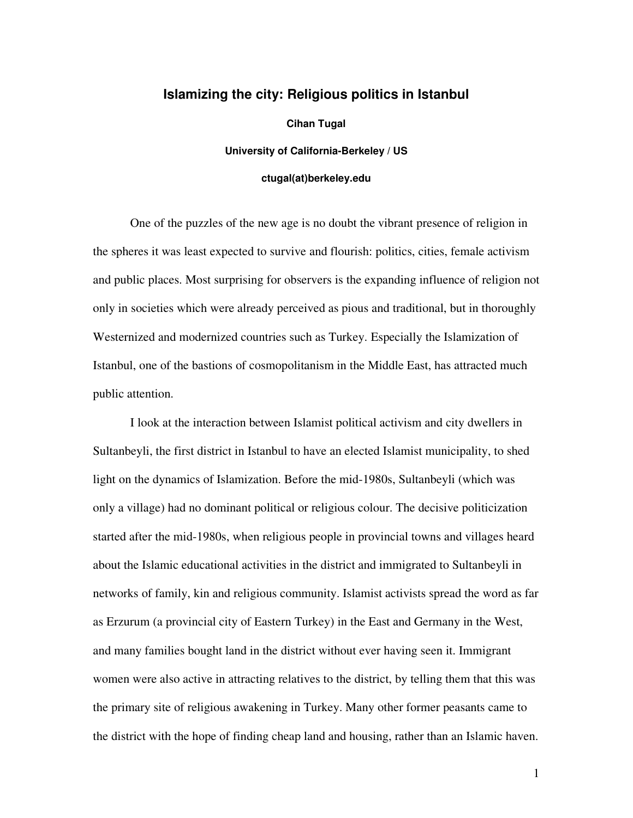## **Islamizing the city: Religious politics in Istanbul**

**Cihan Tugal** 

**University of California-Berkeley / US** 

## **ctugal(at)berkeley.edu**

One of the puzzles of the new age is no doubt the vibrant presence of religion in the spheres it was least expected to survive and flourish: politics, cities, female activism and public places. Most surprising for observers is the expanding influence of religion not only in societies which were already perceived as pious and traditional, but in thoroughly Westernized and modernized countries such as Turkey. Especially the Islamization of Istanbul, one of the bastions of cosmopolitanism in the Middle East, has attracted much public attention.

I look at the interaction between Islamist political activism and city dwellers in Sultanbeyli, the first district in Istanbul to have an elected Islamist municipality, to shed light on the dynamics of Islamization. Before the mid-1980s, Sultanbeyli (which was only a village) had no dominant political or religious colour. The decisive politicization started after the mid-1980s, when religious people in provincial towns and villages heard about the Islamic educational activities in the district and immigrated to Sultanbeyli in networks of family, kin and religious community. Islamist activists spread the word as far as Erzurum (a provincial city of Eastern Turkey) in the East and Germany in the West, and many families bought land in the district without ever having seen it. Immigrant women were also active in attracting relatives to the district, by telling them that this was the primary site of religious awakening in Turkey. Many other former peasants came to the district with the hope of finding cheap land and housing, rather than an Islamic haven.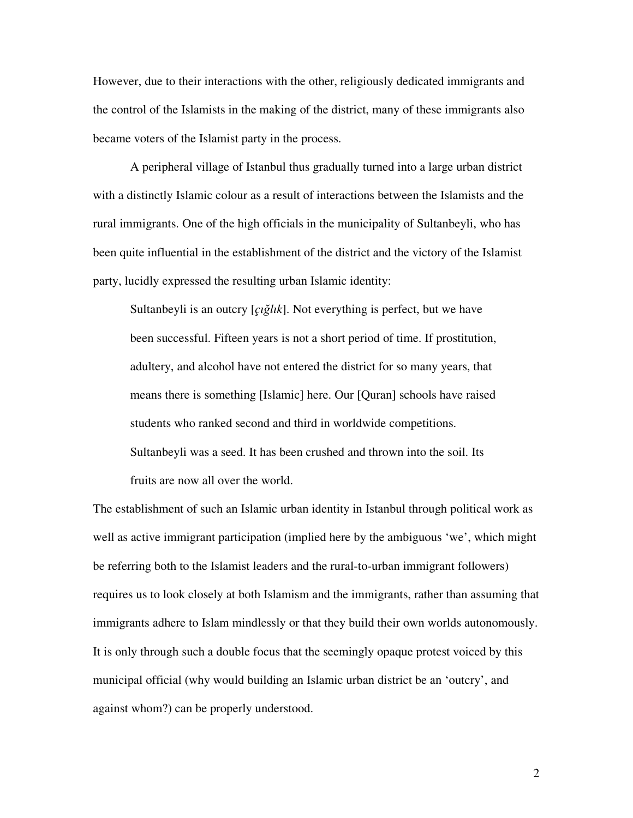However, due to their interactions with the other, religiously dedicated immigrants and the control of the Islamists in the making of the district, many of these immigrants also became voters of the Islamist party in the process.

A peripheral village of Istanbul thus gradually turned into a large urban district with a distinctly Islamic colour as a result of interactions between the Islamists and the rural immigrants. One of the high officials in the municipality of Sultanbeyli, who has been quite influential in the establishment of the district and the victory of the Islamist party, lucidly expressed the resulting urban Islamic identity:

Sultanbeyli is an outcry [*çı*ğ*lık*]. Not everything is perfect, but we have been successful. Fifteen years is not a short period of time. If prostitution, adultery, and alcohol have not entered the district for so many years, that means there is something [Islamic] here. Our [Quran] schools have raised students who ranked second and third in worldwide competitions. Sultanbeyli was a seed. It has been crushed and thrown into the soil. Its fruits are now all over the world.

The establishment of such an Islamic urban identity in Istanbul through political work as well as active immigrant participation (implied here by the ambiguous 'we', which might be referring both to the Islamist leaders and the rural-to-urban immigrant followers) requires us to look closely at both Islamism and the immigrants, rather than assuming that immigrants adhere to Islam mindlessly or that they build their own worlds autonomously. It is only through such a double focus that the seemingly opaque protest voiced by this municipal official (why would building an Islamic urban district be an 'outcry', and against whom?) can be properly understood.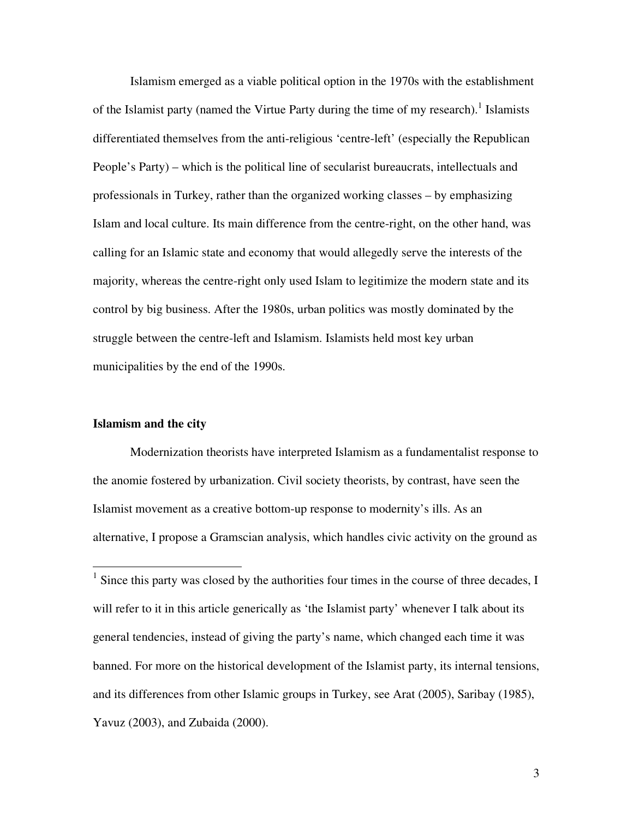Islamism emerged as a viable political option in the 1970s with the establishment of the Islamist party (named the Virtue Party during the time of my research).<sup>1</sup> Islamists differentiated themselves from the anti-religious 'centre-left' (especially the Republican People's Party) – which is the political line of secularist bureaucrats, intellectuals and professionals in Turkey, rather than the organized working classes – by emphasizing Islam and local culture. Its main difference from the centre-right, on the other hand, was calling for an Islamic state and economy that would allegedly serve the interests of the majority, whereas the centre-right only used Islam to legitimize the modern state and its control by big business. After the 1980s, urban politics was mostly dominated by the struggle between the centre-left and Islamism. Islamists held most key urban municipalities by the end of the 1990s.

## **Islamism and the city**

 $\overline{a}$ 

Modernization theorists have interpreted Islamism as a fundamentalist response to the anomie fostered by urbanization. Civil society theorists, by contrast, have seen the Islamist movement as a creative bottom-up response to modernity's ills. As an alternative, I propose a Gramscian analysis, which handles civic activity on the ground as

<sup>&</sup>lt;sup>1</sup> Since this party was closed by the authorities four times in the course of three decades, I will refer to it in this article generically as 'the Islamist party' whenever I talk about its general tendencies, instead of giving the party's name, which changed each time it was banned. For more on the historical development of the Islamist party, its internal tensions, and its differences from other Islamic groups in Turkey, see Arat (2005), Saribay (1985), Yavuz (2003), and Zubaida (2000).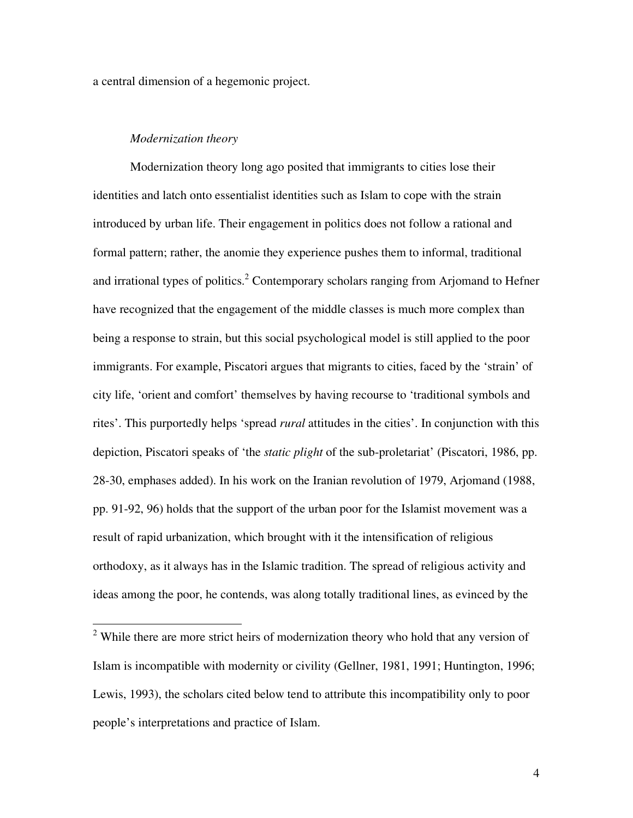a central dimension of a hegemonic project.

## *Modernization theory*

Modernization theory long ago posited that immigrants to cities lose their identities and latch onto essentialist identities such as Islam to cope with the strain introduced by urban life. Their engagement in politics does not follow a rational and formal pattern; rather, the anomie they experience pushes them to informal, traditional and irrational types of politics.<sup>2</sup> Contemporary scholars ranging from Arjomand to Hefner have recognized that the engagement of the middle classes is much more complex than being a response to strain, but this social psychological model is still applied to the poor immigrants. For example, Piscatori argues that migrants to cities, faced by the 'strain' of city life, 'orient and comfort' themselves by having recourse to 'traditional symbols and rites'. This purportedly helps 'spread *rural* attitudes in the cities'. In conjunction with this depiction, Piscatori speaks of 'the *static plight* of the sub-proletariat' (Piscatori, 1986, pp. 28-30, emphases added). In his work on the Iranian revolution of 1979, Arjomand (1988, pp. 91-92, 96) holds that the support of the urban poor for the Islamist movement was a result of rapid urbanization, which brought with it the intensification of religious orthodoxy, as it always has in the Islamic tradition. The spread of religious activity and ideas among the poor, he contends, was along totally traditional lines, as evinced by the

<sup>&</sup>lt;sup>2</sup> While there are more strict heirs of modernization theory who hold that any version of Islam is incompatible with modernity or civility (Gellner, 1981, 1991; Huntington, 1996; Lewis, 1993), the scholars cited below tend to attribute this incompatibility only to poor people's interpretations and practice of Islam.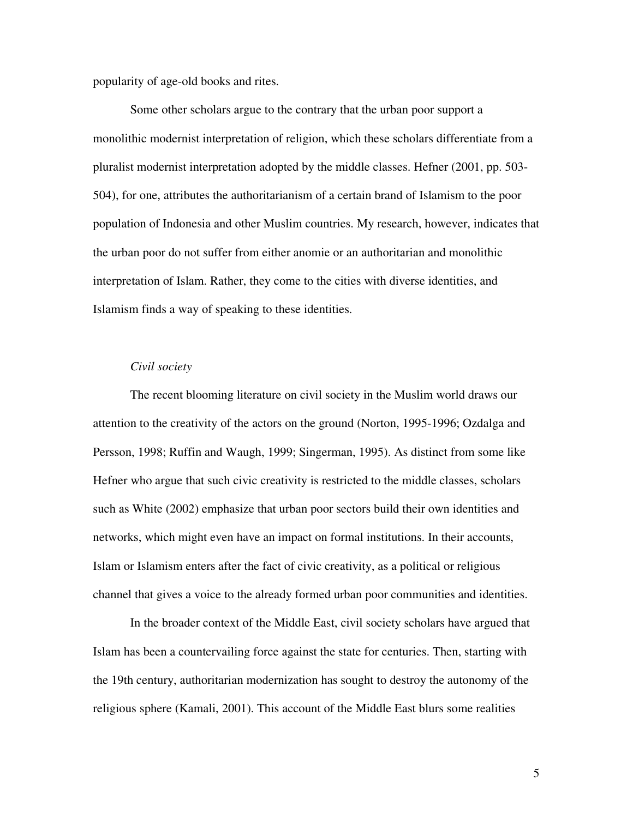popularity of age-old books and rites.

Some other scholars argue to the contrary that the urban poor support a monolithic modernist interpretation of religion, which these scholars differentiate from a pluralist modernist interpretation adopted by the middle classes. Hefner (2001, pp. 503- 504), for one, attributes the authoritarianism of a certain brand of Islamism to the poor population of Indonesia and other Muslim countries. My research, however, indicates that the urban poor do not suffer from either anomie or an authoritarian and monolithic interpretation of Islam. Rather, they come to the cities with diverse identities, and Islamism finds a way of speaking to these identities.

## *Civil society*

The recent blooming literature on civil society in the Muslim world draws our attention to the creativity of the actors on the ground (Norton, 1995-1996; Ozdalga and Persson, 1998; Ruffin and Waugh, 1999; Singerman, 1995). As distinct from some like Hefner who argue that such civic creativity is restricted to the middle classes, scholars such as White (2002) emphasize that urban poor sectors build their own identities and networks, which might even have an impact on formal institutions. In their accounts, Islam or Islamism enters after the fact of civic creativity, as a political or religious channel that gives a voice to the already formed urban poor communities and identities.

In the broader context of the Middle East, civil society scholars have argued that Islam has been a countervailing force against the state for centuries. Then, starting with the 19th century, authoritarian modernization has sought to destroy the autonomy of the religious sphere (Kamali, 2001). This account of the Middle East blurs some realities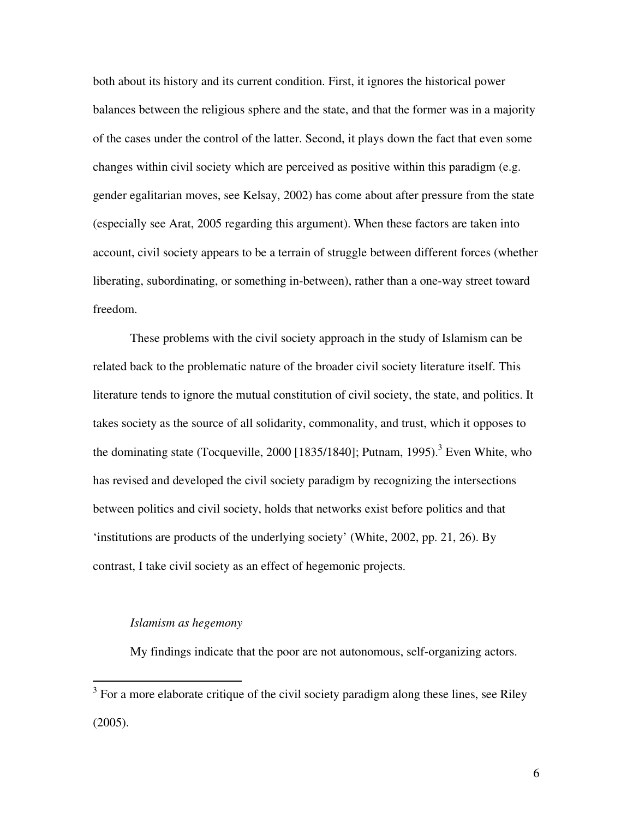both about its history and its current condition. First, it ignores the historical power balances between the religious sphere and the state, and that the former was in a majority of the cases under the control of the latter. Second, it plays down the fact that even some changes within civil society which are perceived as positive within this paradigm (e.g. gender egalitarian moves, see Kelsay, 2002) has come about after pressure from the state (especially see Arat, 2005 regarding this argument). When these factors are taken into account, civil society appears to be a terrain of struggle between different forces (whether liberating, subordinating, or something in-between), rather than a one-way street toward freedom.

These problems with the civil society approach in the study of Islamism can be related back to the problematic nature of the broader civil society literature itself. This literature tends to ignore the mutual constitution of civil society, the state, and politics. It takes society as the source of all solidarity, commonality, and trust, which it opposes to the dominating state (Tocqueville, 2000 [1835/1840]; Putnam, 1995).<sup>3</sup> Even White, who has revised and developed the civil society paradigm by recognizing the intersections between politics and civil society, holds that networks exist before politics and that 'institutions are products of the underlying society' (White, 2002, pp. 21, 26). By contrast, I take civil society as an effect of hegemonic projects.

# *Islamism as hegemony*

My findings indicate that the poor are not autonomous, self-organizing actors.

<sup>&</sup>lt;sup>3</sup> For a more elaborate critique of the civil society paradigm along these lines, see Riley (2005).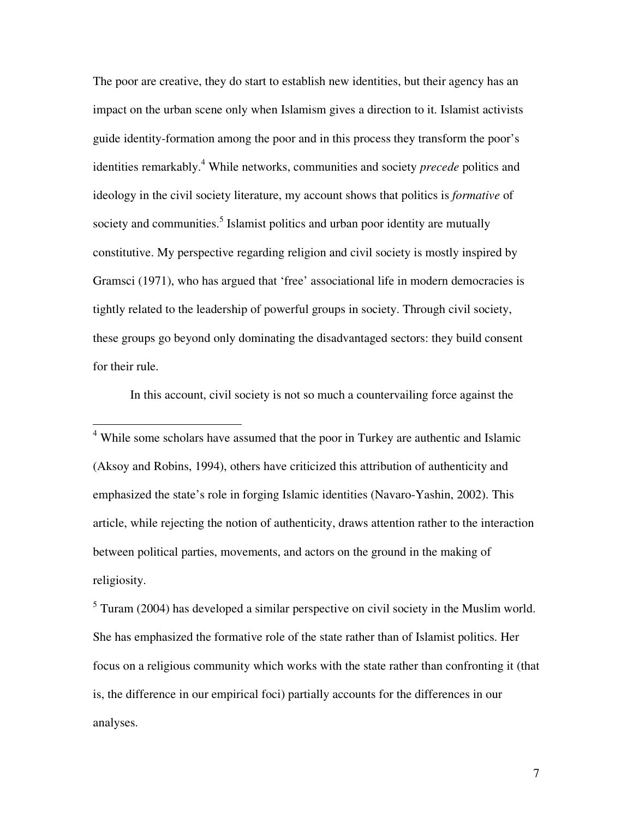The poor are creative, they do start to establish new identities, but their agency has an impact on the urban scene only when Islamism gives a direction to it. Islamist activists guide identity-formation among the poor and in this process they transform the poor's identities remarkably.<sup>4</sup> While networks, communities and society *precede* politics and ideology in the civil society literature, my account shows that politics is *formative* of society and communities.<sup>5</sup> Islamist politics and urban poor identity are mutually constitutive. My perspective regarding religion and civil society is mostly inspired by Gramsci (1971), who has argued that 'free' associational life in modern democracies is tightly related to the leadership of powerful groups in society. Through civil society, these groups go beyond only dominating the disadvantaged sectors: they build consent for their rule.

In this account, civil society is not so much a countervailing force against the

 4 While some scholars have assumed that the poor in Turkey are authentic and Islamic (Aksoy and Robins, 1994), others have criticized this attribution of authenticity and emphasized the state's role in forging Islamic identities (Navaro-Yashin, 2002). This article, while rejecting the notion of authenticity, draws attention rather to the interaction between political parties, movements, and actors on the ground in the making of religiosity.

 $<sup>5</sup>$  Turam (2004) has developed a similar perspective on civil society in the Muslim world.</sup> She has emphasized the formative role of the state rather than of Islamist politics. Her focus on a religious community which works with the state rather than confronting it (that is, the difference in our empirical foci) partially accounts for the differences in our analyses.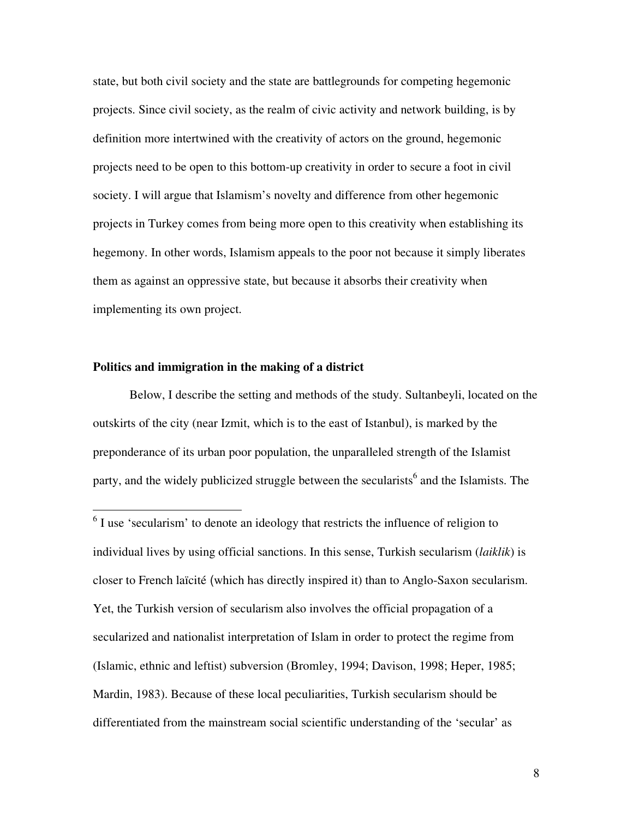state, but both civil society and the state are battlegrounds for competing hegemonic projects. Since civil society, as the realm of civic activity and network building, is by definition more intertwined with the creativity of actors on the ground, hegemonic projects need to be open to this bottom-up creativity in order to secure a foot in civil society. I will argue that Islamism's novelty and difference from other hegemonic projects in Turkey comes from being more open to this creativity when establishing its hegemony. In other words, Islamism appeals to the poor not because it simply liberates them as against an oppressive state, but because it absorbs their creativity when implementing its own project.

## **Politics and immigration in the making of a district**

 Below, I describe the setting and methods of the study. Sultanbeyli, located on the outskirts of the city (near Izmit, which is to the east of Istanbul), is marked by the preponderance of its urban poor population, the unparalleled strength of the Islamist party, and the widely publicized struggle between the secularists<sup>6</sup> and the Islamists. The

<sup>&</sup>lt;sup>6</sup> I use 'secularism' to denote an ideology that restricts the influence of religion to individual lives by using official sanctions. In this sense, Turkish secularism (*laiklik*) is closer to French laïcité (which has directly inspired it) than to Anglo-Saxon secularism. Yet, the Turkish version of secularism also involves the official propagation of a secularized and nationalist interpretation of Islam in order to protect the regime from (Islamic, ethnic and leftist) subversion (Bromley, 1994; Davison, 1998; Heper, 1985; Mardin, 1983). Because of these local peculiarities, Turkish secularism should be differentiated from the mainstream social scientific understanding of the 'secular' as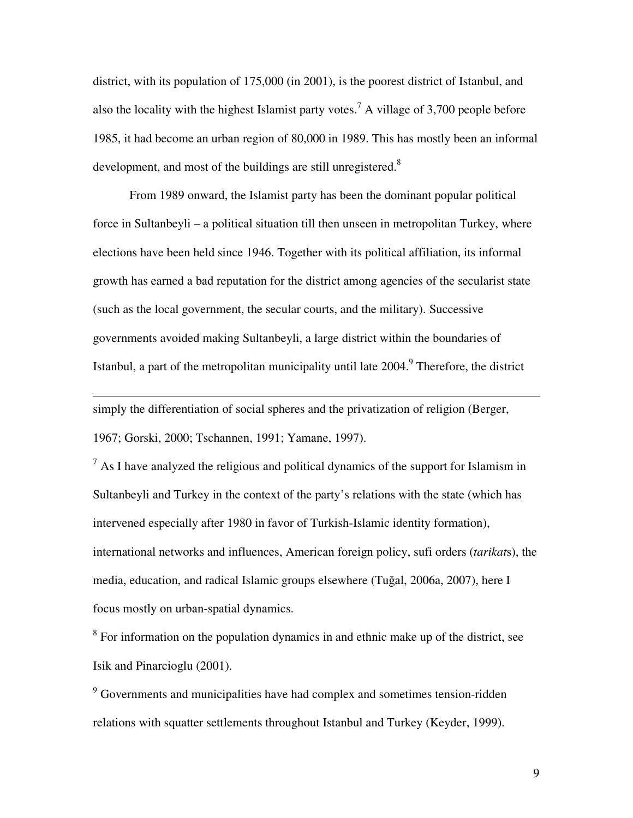district, with its population of 175,000 (in 2001), is the poorest district of Istanbul, and also the locality with the highest Islamist party votes.<sup>7</sup> A village of 3,700 people before 1985, it had become an urban region of 80,000 in 1989. This has mostly been an informal development, and most of the buildings are still unregistered. $8$ 

 From 1989 onward, the Islamist party has been the dominant popular political force in Sultanbeyli – a political situation till then unseen in metropolitan Turkey, where elections have been held since 1946. Together with its political affiliation, its informal growth has earned a bad reputation for the district among agencies of the secularist state (such as the local government, the secular courts, and the military). Successive governments avoided making Sultanbeyli, a large district within the boundaries of Istanbul, a part of the metropolitan municipality until late 2004.<sup>9</sup> Therefore, the district

simply the differentiation of social spheres and the privatization of religion (Berger, 1967; Gorski, 2000; Tschannen, 1991; Yamane, 1997).

 $\overline{a}$ 

 $<sup>7</sup>$  As I have analyzed the religious and political dynamics of the support for Islamism in</sup> Sultanbeyli and Turkey in the context of the party's relations with the state (which has intervened especially after 1980 in favor of Turkish-Islamic identity formation), international networks and influences, American foreign policy, sufi orders (*tarikat*s), the media, education, and radical Islamic groups elsewhere (Tuğal, 2006a, 2007), here I focus mostly on urban-spatial dynamics.

 $8$  For information on the population dynamics in and ethnic make up of the district, see Isik and Pinarcioglu (2001).

<sup>9</sup> Governments and municipalities have had complex and sometimes tension-ridden relations with squatter settlements throughout Istanbul and Turkey (Keyder, 1999).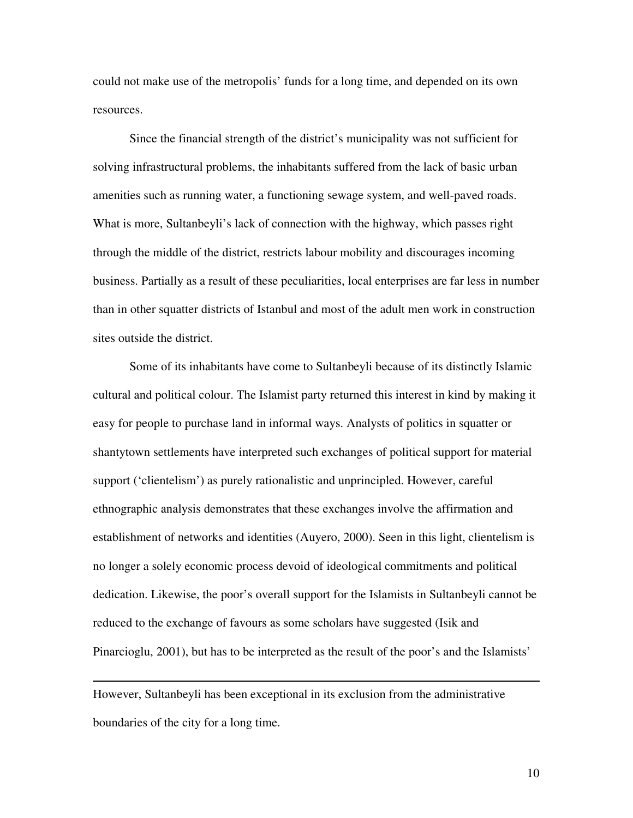could not make use of the metropolis' funds for a long time, and depended on its own resources.

Since the financial strength of the district's municipality was not sufficient for solving infrastructural problems, the inhabitants suffered from the lack of basic urban amenities such as running water, a functioning sewage system, and well-paved roads. What is more, Sultanbeyli's lack of connection with the highway, which passes right through the middle of the district, restricts labour mobility and discourages incoming business. Partially as a result of these peculiarities, local enterprises are far less in number than in other squatter districts of Istanbul and most of the adult men work in construction sites outside the district.

 Some of its inhabitants have come to Sultanbeyli because of its distinctly Islamic cultural and political colour. The Islamist party returned this interest in kind by making it easy for people to purchase land in informal ways. Analysts of politics in squatter or shantytown settlements have interpreted such exchanges of political support for material support ('clientelism') as purely rationalistic and unprincipled. However, careful ethnographic analysis demonstrates that these exchanges involve the affirmation and establishment of networks and identities (Auyero, 2000). Seen in this light, clientelism is no longer a solely economic process devoid of ideological commitments and political dedication. Likewise, the poor's overall support for the Islamists in Sultanbeyli cannot be reduced to the exchange of favours as some scholars have suggested (Isik and Pinarcioglu, 2001), but has to be interpreted as the result of the poor's and the Islamists'

However, Sultanbeyli has been exceptional in its exclusion from the administrative boundaries of the city for a long time.

 $\overline{a}$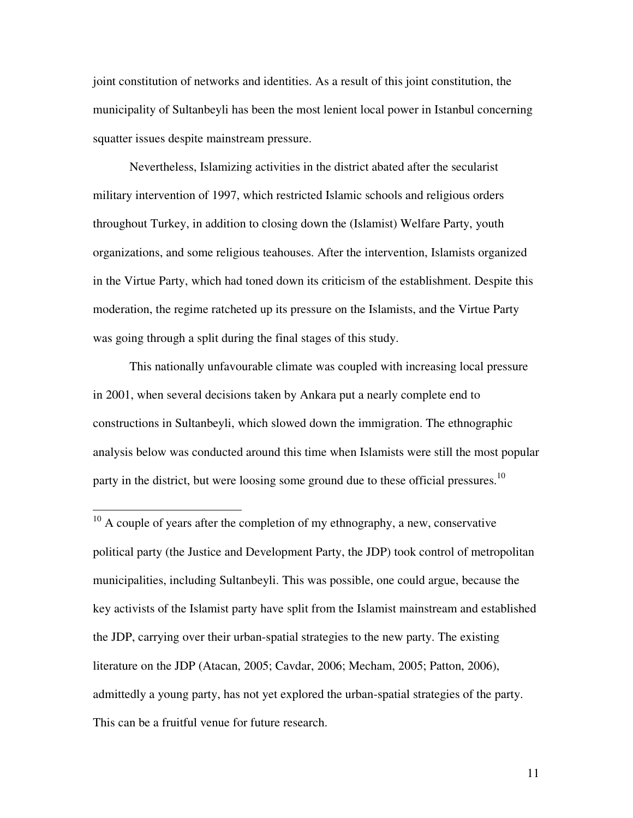joint constitution of networks and identities. As a result of this joint constitution, the municipality of Sultanbeyli has been the most lenient local power in Istanbul concerning squatter issues despite mainstream pressure.

Nevertheless, Islamizing activities in the district abated after the secularist military intervention of 1997, which restricted Islamic schools and religious orders throughout Turkey, in addition to closing down the (Islamist) Welfare Party, youth organizations, and some religious teahouses. After the intervention, Islamists organized in the Virtue Party, which had toned down its criticism of the establishment. Despite this moderation, the regime ratcheted up its pressure on the Islamists, and the Virtue Party was going through a split during the final stages of this study.

This nationally unfavourable climate was coupled with increasing local pressure in 2001, when several decisions taken by Ankara put a nearly complete end to constructions in Sultanbeyli, which slowed down the immigration. The ethnographic analysis below was conducted around this time when Islamists were still the most popular party in the district, but were loosing some ground due to these official pressures.<sup>10</sup>

 $\overline{a}$ 

 $10$  A couple of years after the completion of my ethnography, a new, conservative political party (the Justice and Development Party, the JDP) took control of metropolitan municipalities, including Sultanbeyli. This was possible, one could argue, because the key activists of the Islamist party have split from the Islamist mainstream and established the JDP, carrying over their urban-spatial strategies to the new party. The existing literature on the JDP (Atacan, 2005; Cavdar, 2006; Mecham, 2005; Patton, 2006), admittedly a young party, has not yet explored the urban-spatial strategies of the party. This can be a fruitful venue for future research.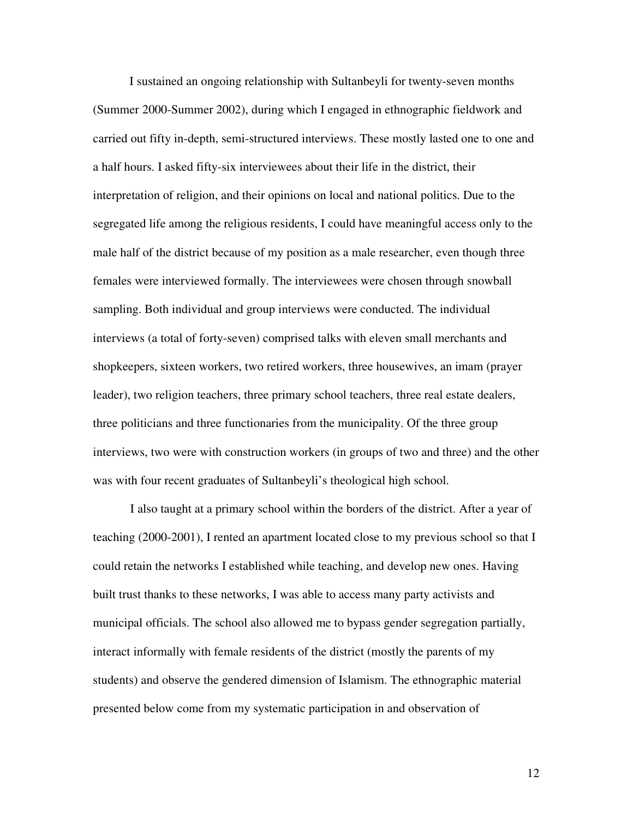I sustained an ongoing relationship with Sultanbeyli for twenty-seven months (Summer 2000-Summer 2002), during which I engaged in ethnographic fieldwork and carried out fifty in-depth, semi-structured interviews. These mostly lasted one to one and a half hours. I asked fifty-six interviewees about their life in the district, their interpretation of religion, and their opinions on local and national politics. Due to the segregated life among the religious residents, I could have meaningful access only to the male half of the district because of my position as a male researcher, even though three females were interviewed formally. The interviewees were chosen through snowball sampling. Both individual and group interviews were conducted. The individual interviews (a total of forty-seven) comprised talks with eleven small merchants and shopkeepers, sixteen workers, two retired workers, three housewives, an imam (prayer leader), two religion teachers, three primary school teachers, three real estate dealers, three politicians and three functionaries from the municipality. Of the three group interviews, two were with construction workers (in groups of two and three) and the other was with four recent graduates of Sultanbeyli's theological high school.

I also taught at a primary school within the borders of the district. After a year of teaching (2000-2001), I rented an apartment located close to my previous school so that I could retain the networks I established while teaching, and develop new ones. Having built trust thanks to these networks, I was able to access many party activists and municipal officials. The school also allowed me to bypass gender segregation partially, interact informally with female residents of the district (mostly the parents of my students) and observe the gendered dimension of Islamism. The ethnographic material presented below come from my systematic participation in and observation of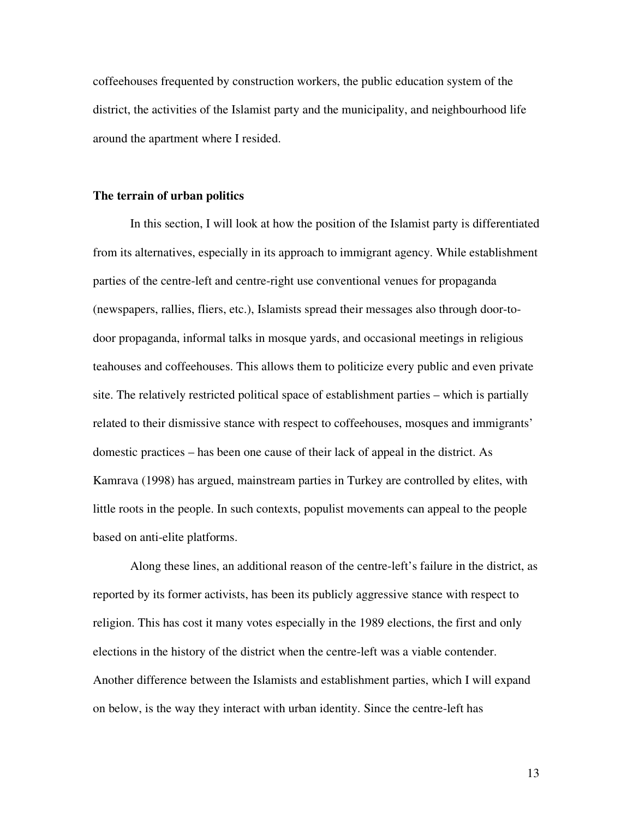coffeehouses frequented by construction workers, the public education system of the district, the activities of the Islamist party and the municipality, and neighbourhood life around the apartment where I resided.

### **The terrain of urban politics**

In this section, I will look at how the position of the Islamist party is differentiated from its alternatives, especially in its approach to immigrant agency. While establishment parties of the centre-left and centre-right use conventional venues for propaganda (newspapers, rallies, fliers, etc.), Islamists spread their messages also through door-todoor propaganda, informal talks in mosque yards, and occasional meetings in religious teahouses and coffeehouses. This allows them to politicize every public and even private site. The relatively restricted political space of establishment parties – which is partially related to their dismissive stance with respect to coffeehouses, mosques and immigrants' domestic practices – has been one cause of their lack of appeal in the district. As Kamrava (1998) has argued, mainstream parties in Turkey are controlled by elites, with little roots in the people. In such contexts, populist movements can appeal to the people based on anti-elite platforms.

Along these lines, an additional reason of the centre-left's failure in the district, as reported by its former activists, has been its publicly aggressive stance with respect to religion. This has cost it many votes especially in the 1989 elections, the first and only elections in the history of the district when the centre-left was a viable contender. Another difference between the Islamists and establishment parties, which I will expand on below, is the way they interact with urban identity. Since the centre-left has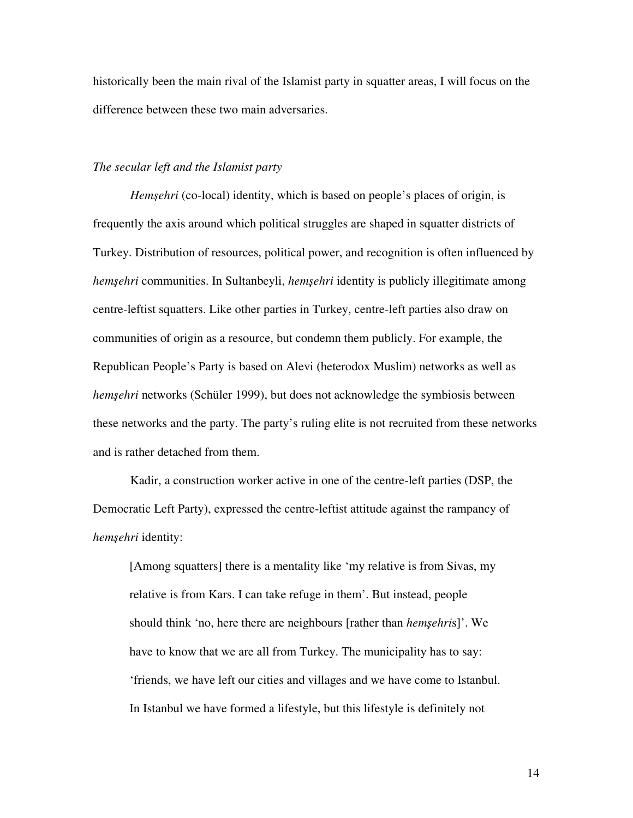historically been the main rival of the Islamist party in squatter areas, I will focus on the difference between these two main adversaries.

## *The secular left and the Islamist party*

*Hem*ş*ehri* (co-local) identity, which is based on people's places of origin, is frequently the axis around which political struggles are shaped in squatter districts of Turkey. Distribution of resources, political power, and recognition is often influenced by *hem*ş*ehri* communities. In Sultanbeyli, *hem*ş*ehri* identity is publicly illegitimate among centre-leftist squatters. Like other parties in Turkey, centre-left parties also draw on communities of origin as a resource, but condemn them publicly. For example, the Republican People's Party is based on Alevi (heterodox Muslim) networks as well as *hem*ş*ehri* networks (Schüler 1999), but does not acknowledge the symbiosis between these networks and the party. The party's ruling elite is not recruited from these networks and is rather detached from them.

Kadir, a construction worker active in one of the centre-left parties (DSP, the Democratic Left Party), expressed the centre-leftist attitude against the rampancy of *hem*ş*ehri* identity:

[Among squatters] there is a mentality like 'my relative is from Sivas, my relative is from Kars. I can take refuge in them'. But instead, people should think 'no, here there are neighbours [rather than *hem*ş*ehri*s]'. We have to know that we are all from Turkey. The municipality has to say: 'friends, we have left our cities and villages and we have come to Istanbul. In Istanbul we have formed a lifestyle, but this lifestyle is definitely not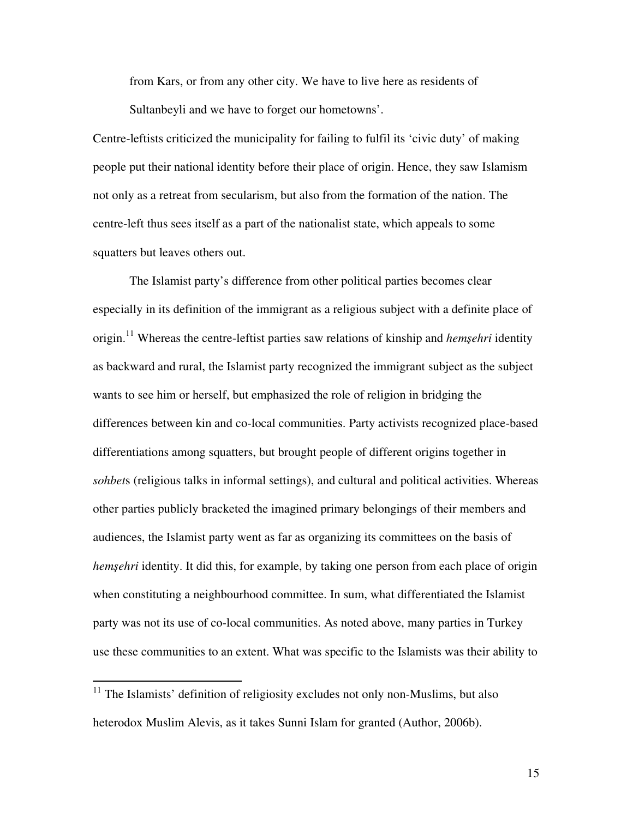from Kars, or from any other city. We have to live here as residents of Sultanbeyli and we have to forget our hometowns'.

Centre-leftists criticized the municipality for failing to fulfil its 'civic duty' of making people put their national identity before their place of origin. Hence, they saw Islamism not only as a retreat from secularism, but also from the formation of the nation. The centre-left thus sees itself as a part of the nationalist state, which appeals to some squatters but leaves others out.

 The Islamist party's difference from other political parties becomes clear especially in its definition of the immigrant as a religious subject with a definite place of origin.<sup>11</sup> Whereas the centre-leftist parties saw relations of kinship and *hem*ş*ehri* identity as backward and rural, the Islamist party recognized the immigrant subject as the subject wants to see him or herself, but emphasized the role of religion in bridging the differences between kin and co-local communities. Party activists recognized place-based differentiations among squatters, but brought people of different origins together in *sohbet*s (religious talks in informal settings), and cultural and political activities. Whereas other parties publicly bracketed the imagined primary belongings of their members and audiences, the Islamist party went as far as organizing its committees on the basis of *hemşehri* identity. It did this, for example, by taking one person from each place of origin when constituting a neighbourhood committee. In sum, what differentiated the Islamist party was not its use of co-local communities. As noted above, many parties in Turkey use these communities to an extent. What was specific to the Islamists was their ability to

 $\overline{a}$ 

 $11$  The Islamists' definition of religiosity excludes not only non-Muslims, but also heterodox Muslim Alevis, as it takes Sunni Islam for granted (Author, 2006b).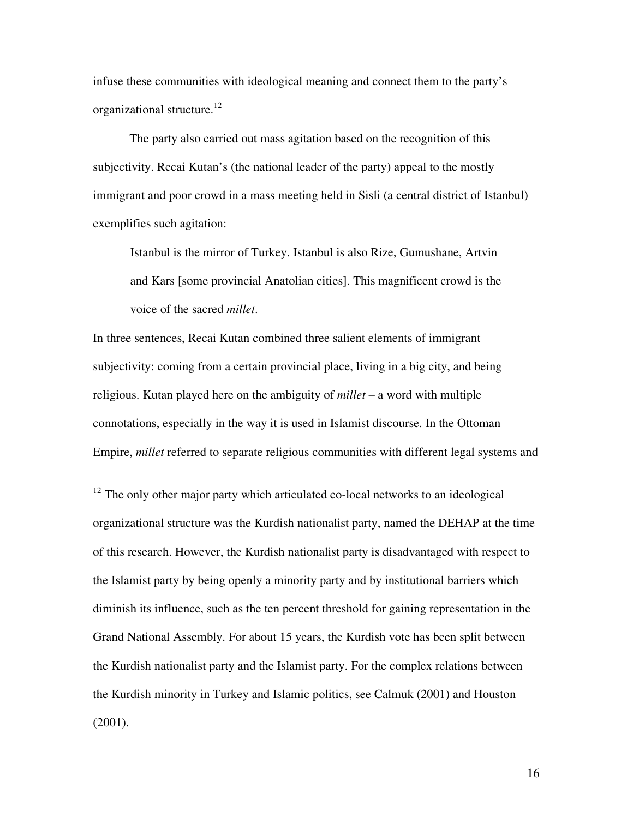infuse these communities with ideological meaning and connect them to the party's organizational structure.<sup>12</sup>

 The party also carried out mass agitation based on the recognition of this subjectivity. Recai Kutan's (the national leader of the party) appeal to the mostly immigrant and poor crowd in a mass meeting held in Sisli (a central district of Istanbul) exemplifies such agitation:

Istanbul is the mirror of Turkey. Istanbul is also Rize, Gumushane, Artvin and Kars [some provincial Anatolian cities]. This magnificent crowd is the voice of the sacred *millet*.

In three sentences, Recai Kutan combined three salient elements of immigrant subjectivity: coming from a certain provincial place, living in a big city, and being religious. Kutan played here on the ambiguity of *millet* – a word with multiple connotations, especially in the way it is used in Islamist discourse. In the Ottoman Empire, *millet* referred to separate religious communities with different legal systems and

 $\overline{a}$ 

 $12$  The only other major party which articulated co-local networks to an ideological organizational structure was the Kurdish nationalist party, named the DEHAP at the time of this research. However, the Kurdish nationalist party is disadvantaged with respect to the Islamist party by being openly a minority party and by institutional barriers which diminish its influence, such as the ten percent threshold for gaining representation in the Grand National Assembly. For about 15 years, the Kurdish vote has been split between the Kurdish nationalist party and the Islamist party. For the complex relations between the Kurdish minority in Turkey and Islamic politics, see Calmuk (2001) and Houston (2001).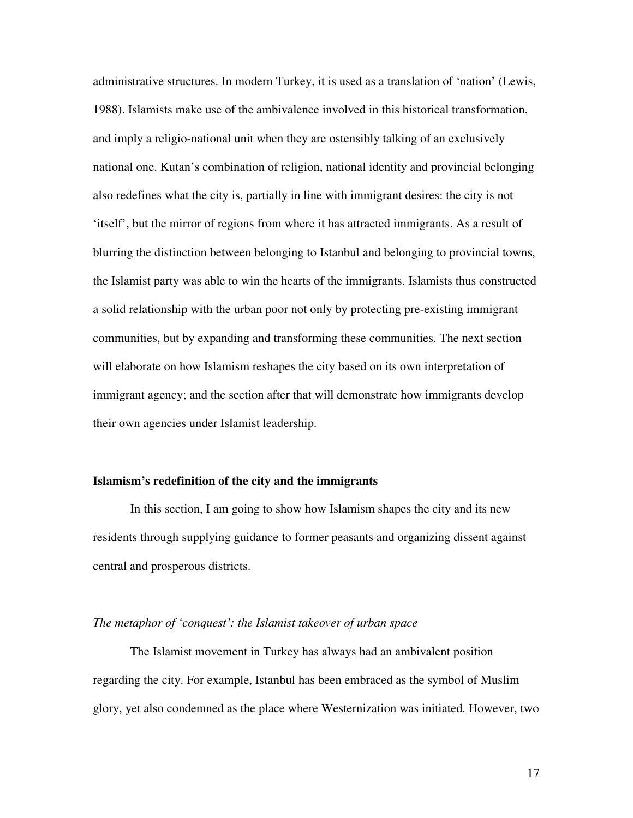administrative structures. In modern Turkey, it is used as a translation of 'nation' (Lewis, 1988). Islamists make use of the ambivalence involved in this historical transformation, and imply a religio-national unit when they are ostensibly talking of an exclusively national one. Kutan's combination of religion, national identity and provincial belonging also redefines what the city is, partially in line with immigrant desires: the city is not 'itself', but the mirror of regions from where it has attracted immigrants. As a result of blurring the distinction between belonging to Istanbul and belonging to provincial towns, the Islamist party was able to win the hearts of the immigrants. Islamists thus constructed a solid relationship with the urban poor not only by protecting pre-existing immigrant communities, but by expanding and transforming these communities. The next section will elaborate on how Islamism reshapes the city based on its own interpretation of immigrant agency; and the section after that will demonstrate how immigrants develop their own agencies under Islamist leadership.

### **Islamism's redefinition of the city and the immigrants**

In this section, I am going to show how Islamism shapes the city and its new residents through supplying guidance to former peasants and organizing dissent against central and prosperous districts.

### *The metaphor of 'conquest': the Islamist takeover of urban space*

The Islamist movement in Turkey has always had an ambivalent position regarding the city. For example, Istanbul has been embraced as the symbol of Muslim glory, yet also condemned as the place where Westernization was initiated. However, two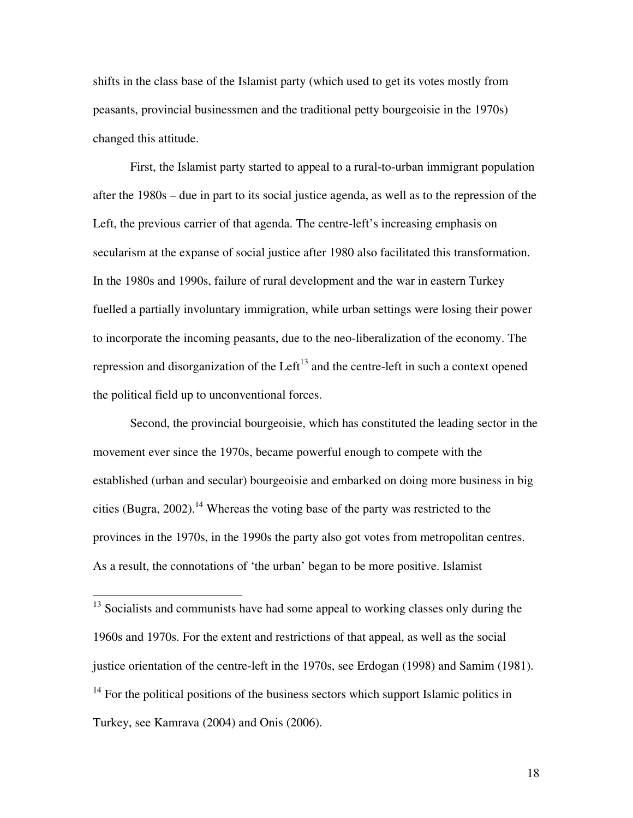shifts in the class base of the Islamist party (which used to get its votes mostly from peasants, provincial businessmen and the traditional petty bourgeoisie in the 1970s) changed this attitude.

First, the Islamist party started to appeal to a rural-to-urban immigrant population after the 1980s – due in part to its social justice agenda, as well as to the repression of the Left, the previous carrier of that agenda. The centre-left's increasing emphasis on secularism at the expanse of social justice after 1980 also facilitated this transformation. In the 1980s and 1990s, failure of rural development and the war in eastern Turkey fuelled a partially involuntary immigration, while urban settings were losing their power to incorporate the incoming peasants, due to the neo-liberalization of the economy. The repression and disorganization of the Left<sup>13</sup> and the centre-left in such a context opened the political field up to unconventional forces.

Second, the provincial bourgeoisie, which has constituted the leading sector in the movement ever since the 1970s, became powerful enough to compete with the established (urban and secular) bourgeoisie and embarked on doing more business in big cities (Bugra, 2002).<sup>14</sup> Whereas the voting base of the party was restricted to the provinces in the 1970s, in the 1990s the party also got votes from metropolitan centres. As a result, the connotations of 'the urban' began to be more positive. Islamist

 $\overline{a}$ 

 $13$  Socialists and communists have had some appeal to working classes only during the 1960s and 1970s. For the extent and restrictions of that appeal, as well as the social justice orientation of the centre-left in the 1970s, see Erdogan (1998) and Samim (1981).  $14$  For the political positions of the business sectors which support Islamic politics in Turkey, see Kamrava (2004) and Onis (2006).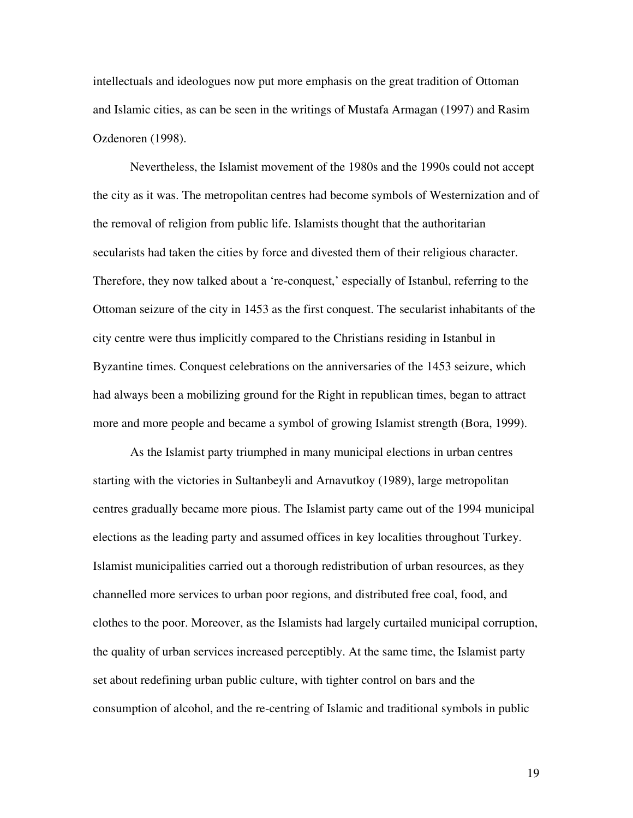intellectuals and ideologues now put more emphasis on the great tradition of Ottoman and Islamic cities, as can be seen in the writings of Mustafa Armagan (1997) and Rasim Ozdenoren (1998).

Nevertheless, the Islamist movement of the 1980s and the 1990s could not accept the city as it was. The metropolitan centres had become symbols of Westernization and of the removal of religion from public life. Islamists thought that the authoritarian secularists had taken the cities by force and divested them of their religious character. Therefore, they now talked about a 're-conquest,' especially of Istanbul, referring to the Ottoman seizure of the city in 1453 as the first conquest. The secularist inhabitants of the city centre were thus implicitly compared to the Christians residing in Istanbul in Byzantine times. Conquest celebrations on the anniversaries of the 1453 seizure, which had always been a mobilizing ground for the Right in republican times, began to attract more and more people and became a symbol of growing Islamist strength (Bora, 1999).

As the Islamist party triumphed in many municipal elections in urban centres starting with the victories in Sultanbeyli and Arnavutkoy (1989), large metropolitan centres gradually became more pious. The Islamist party came out of the 1994 municipal elections as the leading party and assumed offices in key localities throughout Turkey. Islamist municipalities carried out a thorough redistribution of urban resources, as they channelled more services to urban poor regions, and distributed free coal, food, and clothes to the poor. Moreover, as the Islamists had largely curtailed municipal corruption, the quality of urban services increased perceptibly. At the same time, the Islamist party set about redefining urban public culture, with tighter control on bars and the consumption of alcohol, and the re-centring of Islamic and traditional symbols in public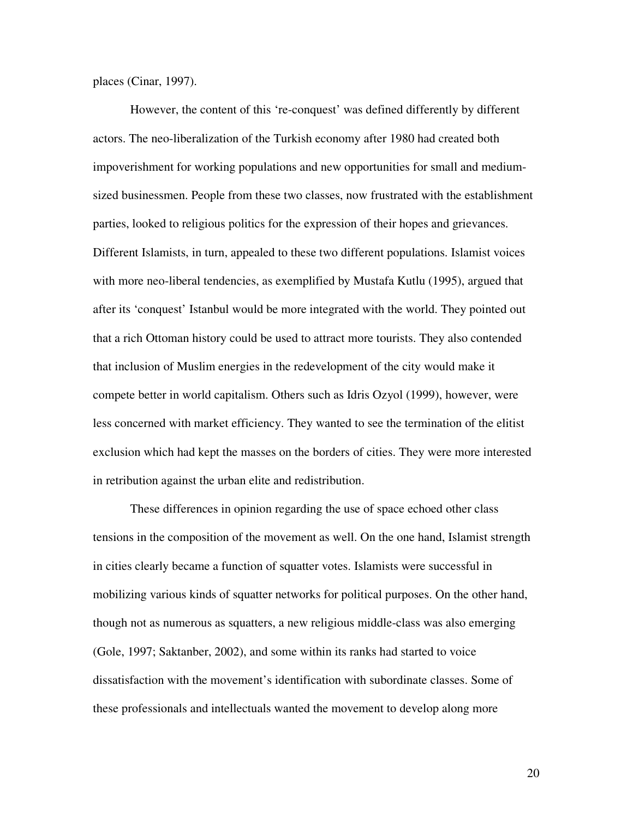places (Cinar, 1997).

However, the content of this 're-conquest' was defined differently by different actors. The neo-liberalization of the Turkish economy after 1980 had created both impoverishment for working populations and new opportunities for small and mediumsized businessmen. People from these two classes, now frustrated with the establishment parties, looked to religious politics for the expression of their hopes and grievances. Different Islamists, in turn, appealed to these two different populations. Islamist voices with more neo-liberal tendencies, as exemplified by Mustafa Kutlu (1995), argued that after its 'conquest' Istanbul would be more integrated with the world. They pointed out that a rich Ottoman history could be used to attract more tourists. They also contended that inclusion of Muslim energies in the redevelopment of the city would make it compete better in world capitalism. Others such as Idris Ozyol (1999), however, were less concerned with market efficiency. They wanted to see the termination of the elitist exclusion which had kept the masses on the borders of cities. They were more interested in retribution against the urban elite and redistribution.

These differences in opinion regarding the use of space echoed other class tensions in the composition of the movement as well. On the one hand, Islamist strength in cities clearly became a function of squatter votes. Islamists were successful in mobilizing various kinds of squatter networks for political purposes. On the other hand, though not as numerous as squatters, a new religious middle-class was also emerging (Gole, 1997; Saktanber, 2002), and some within its ranks had started to voice dissatisfaction with the movement's identification with subordinate classes. Some of these professionals and intellectuals wanted the movement to develop along more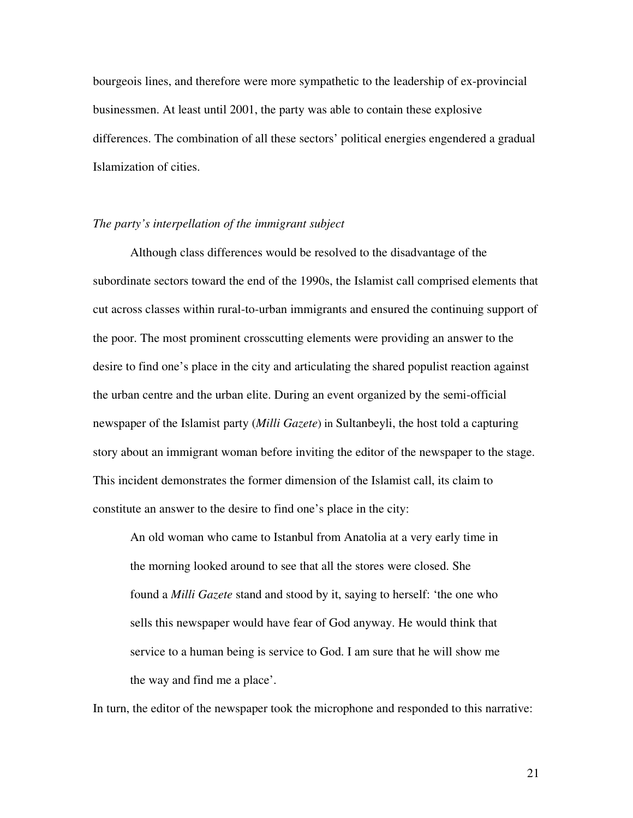bourgeois lines, and therefore were more sympathetic to the leadership of ex-provincial businessmen. At least until 2001, the party was able to contain these explosive differences. The combination of all these sectors' political energies engendered a gradual Islamization of cities.

## *The party's interpellation of the immigrant subject*

Although class differences would be resolved to the disadvantage of the subordinate sectors toward the end of the 1990s, the Islamist call comprised elements that cut across classes within rural-to-urban immigrants and ensured the continuing support of the poor. The most prominent crosscutting elements were providing an answer to the desire to find one's place in the city and articulating the shared populist reaction against the urban centre and the urban elite. During an event organized by the semi-official newspaper of the Islamist party (*Milli Gazete*) in Sultanbeyli, the host told a capturing story about an immigrant woman before inviting the editor of the newspaper to the stage. This incident demonstrates the former dimension of the Islamist call, its claim to constitute an answer to the desire to find one's place in the city:

An old woman who came to Istanbul from Anatolia at a very early time in the morning looked around to see that all the stores were closed. She found a *Milli Gazete* stand and stood by it, saying to herself: 'the one who sells this newspaper would have fear of God anyway. He would think that service to a human being is service to God. I am sure that he will show me the way and find me a place'.

In turn, the editor of the newspaper took the microphone and responded to this narrative: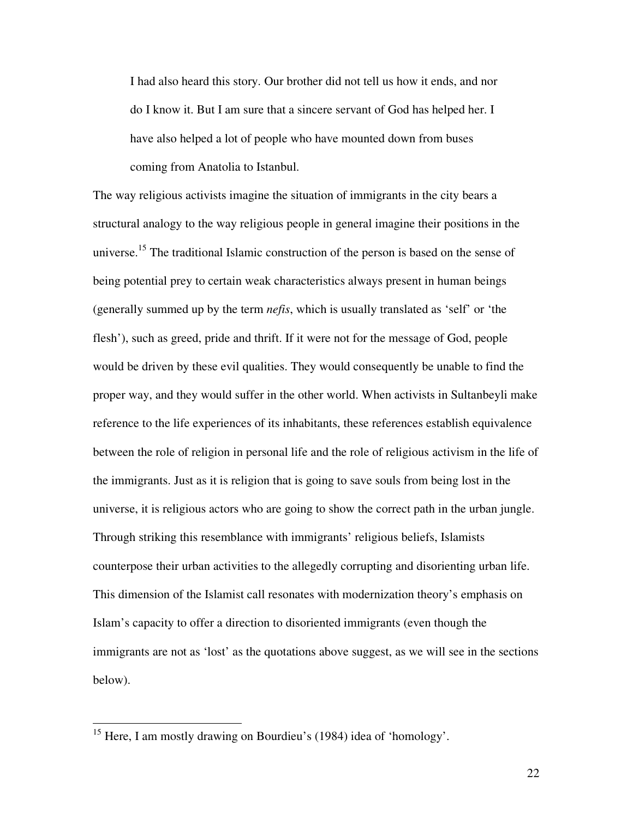I had also heard this story. Our brother did not tell us how it ends, and nor do I know it. But I am sure that a sincere servant of God has helped her. I have also helped a lot of people who have mounted down from buses coming from Anatolia to Istanbul.

The way religious activists imagine the situation of immigrants in the city bears a structural analogy to the way religious people in general imagine their positions in the universe.<sup>15</sup> The traditional Islamic construction of the person is based on the sense of being potential prey to certain weak characteristics always present in human beings (generally summed up by the term *nefis*, which is usually translated as 'self' or 'the flesh'), such as greed, pride and thrift. If it were not for the message of God, people would be driven by these evil qualities. They would consequently be unable to find the proper way, and they would suffer in the other world. When activists in Sultanbeyli make reference to the life experiences of its inhabitants, these references establish equivalence between the role of religion in personal life and the role of religious activism in the life of the immigrants. Just as it is religion that is going to save souls from being lost in the universe, it is religious actors who are going to show the correct path in the urban jungle. Through striking this resemblance with immigrants' religious beliefs, Islamists counterpose their urban activities to the allegedly corrupting and disorienting urban life. This dimension of the Islamist call resonates with modernization theory's emphasis on Islam's capacity to offer a direction to disoriented immigrants (even though the immigrants are not as 'lost' as the quotations above suggest, as we will see in the sections below).

 $\overline{a}$ 

<sup>&</sup>lt;sup>15</sup> Here, I am mostly drawing on Bourdieu's (1984) idea of 'homology'.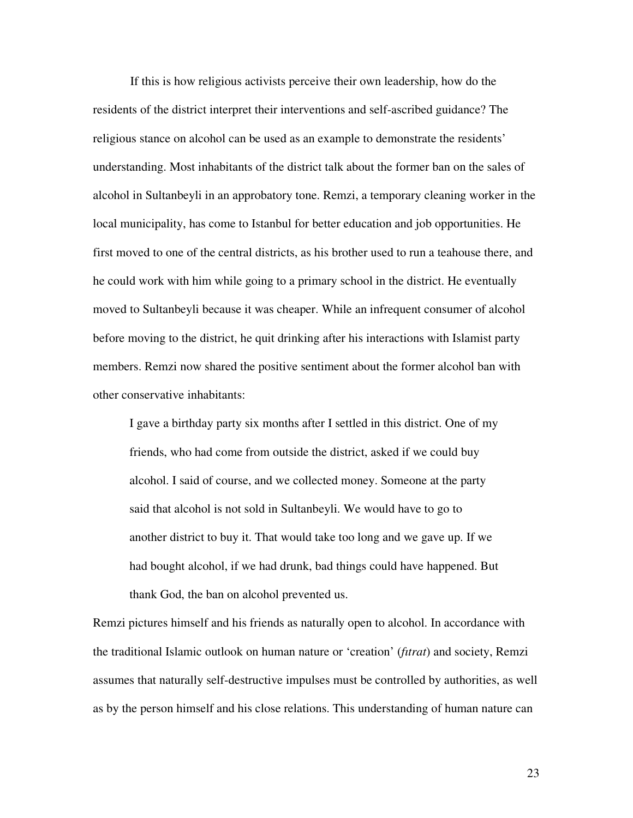If this is how religious activists perceive their own leadership, how do the residents of the district interpret their interventions and self-ascribed guidance? The religious stance on alcohol can be used as an example to demonstrate the residents' understanding. Most inhabitants of the district talk about the former ban on the sales of alcohol in Sultanbeyli in an approbatory tone. Remzi, a temporary cleaning worker in the local municipality, has come to Istanbul for better education and job opportunities. He first moved to one of the central districts, as his brother used to run a teahouse there, and he could work with him while going to a primary school in the district. He eventually moved to Sultanbeyli because it was cheaper. While an infrequent consumer of alcohol before moving to the district, he quit drinking after his interactions with Islamist party members. Remzi now shared the positive sentiment about the former alcohol ban with other conservative inhabitants:

I gave a birthday party six months after I settled in this district. One of my friends, who had come from outside the district, asked if we could buy alcohol. I said of course, and we collected money. Someone at the party said that alcohol is not sold in Sultanbeyli. We would have to go to another district to buy it. That would take too long and we gave up. If we had bought alcohol, if we had drunk, bad things could have happened. But thank God, the ban on alcohol prevented us.

Remzi pictures himself and his friends as naturally open to alcohol. In accordance with the traditional Islamic outlook on human nature or 'creation' (*fıtrat*) and society, Remzi assumes that naturally self-destructive impulses must be controlled by authorities, as well as by the person himself and his close relations. This understanding of human nature can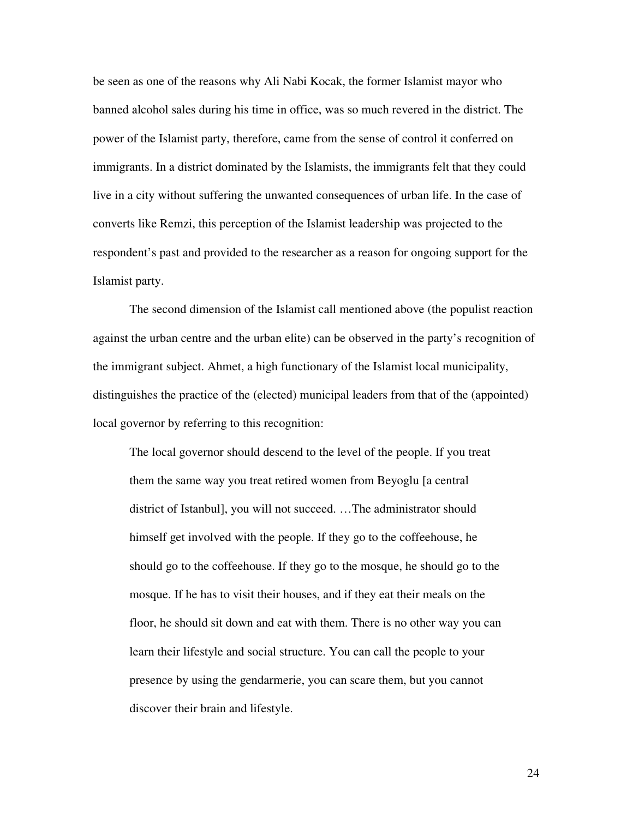be seen as one of the reasons why Ali Nabi Kocak, the former Islamist mayor who banned alcohol sales during his time in office, was so much revered in the district. The power of the Islamist party, therefore, came from the sense of control it conferred on immigrants. In a district dominated by the Islamists, the immigrants felt that they could live in a city without suffering the unwanted consequences of urban life. In the case of converts like Remzi, this perception of the Islamist leadership was projected to the respondent's past and provided to the researcher as a reason for ongoing support for the Islamist party.

 The second dimension of the Islamist call mentioned above (the populist reaction against the urban centre and the urban elite) can be observed in the party's recognition of the immigrant subject. Ahmet, a high functionary of the Islamist local municipality, distinguishes the practice of the (elected) municipal leaders from that of the (appointed) local governor by referring to this recognition:

The local governor should descend to the level of the people. If you treat them the same way you treat retired women from Beyoglu [a central district of Istanbul], you will not succeed. …The administrator should himself get involved with the people. If they go to the coffeehouse, he should go to the coffeehouse. If they go to the mosque, he should go to the mosque. If he has to visit their houses, and if they eat their meals on the floor, he should sit down and eat with them. There is no other way you can learn their lifestyle and social structure. You can call the people to your presence by using the gendarmerie, you can scare them, but you cannot discover their brain and lifestyle.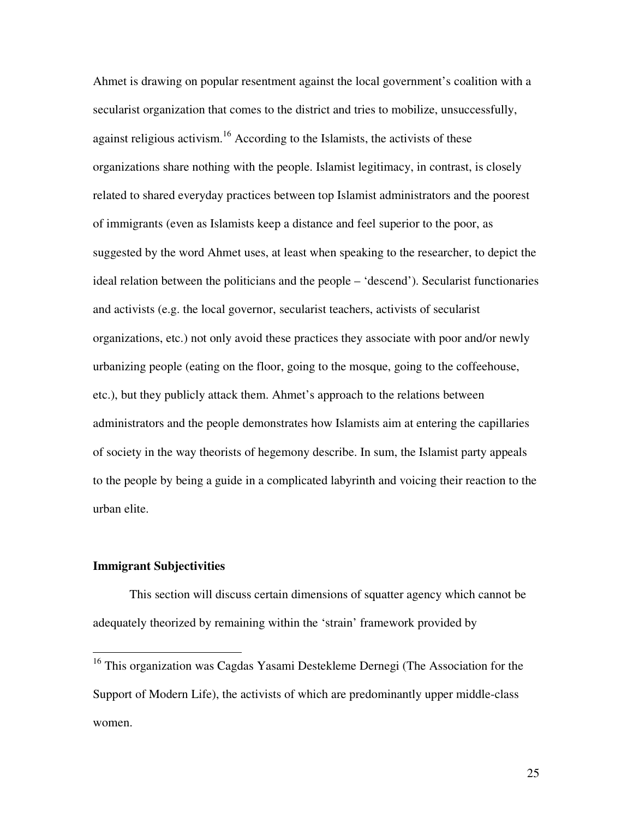Ahmet is drawing on popular resentment against the local government's coalition with a secularist organization that comes to the district and tries to mobilize, unsuccessfully, against religious activism.<sup>16</sup> According to the Islamists, the activists of these organizations share nothing with the people. Islamist legitimacy, in contrast, is closely related to shared everyday practices between top Islamist administrators and the poorest of immigrants (even as Islamists keep a distance and feel superior to the poor, as suggested by the word Ahmet uses, at least when speaking to the researcher, to depict the ideal relation between the politicians and the people – 'descend'). Secularist functionaries and activists (e.g. the local governor, secularist teachers, activists of secularist organizations, etc.) not only avoid these practices they associate with poor and/or newly urbanizing people (eating on the floor, going to the mosque, going to the coffeehouse, etc.), but they publicly attack them. Ahmet's approach to the relations between administrators and the people demonstrates how Islamists aim at entering the capillaries of society in the way theorists of hegemony describe. In sum, the Islamist party appeals to the people by being a guide in a complicated labyrinth and voicing their reaction to the urban elite.

#### **Immigrant Subjectivities**

 $\overline{a}$ 

This section will discuss certain dimensions of squatter agency which cannot be adequately theorized by remaining within the 'strain' framework provided by

<sup>&</sup>lt;sup>16</sup> This organization was Cagdas Yasami Destekleme Dernegi (The Association for the Support of Modern Life), the activists of which are predominantly upper middle-class women.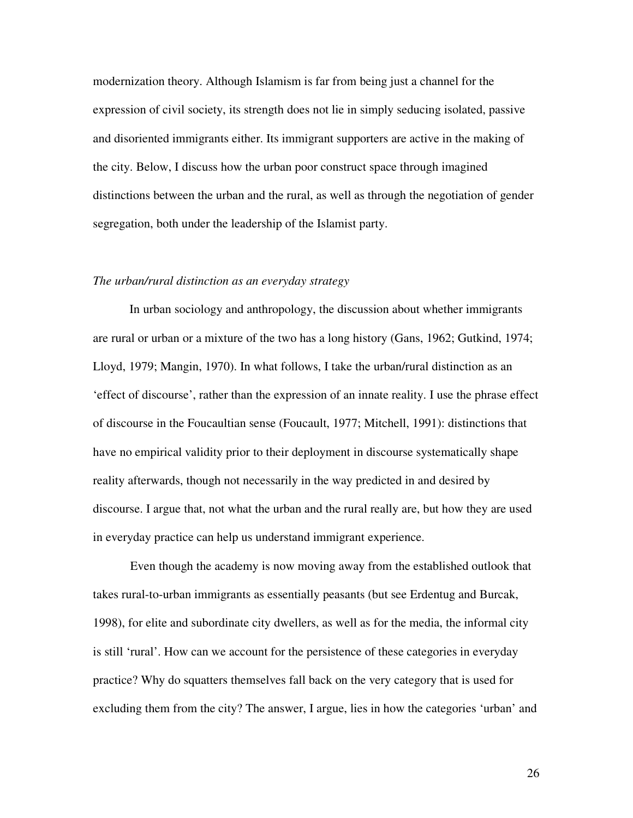modernization theory. Although Islamism is far from being just a channel for the expression of civil society, its strength does not lie in simply seducing isolated, passive and disoriented immigrants either. Its immigrant supporters are active in the making of the city. Below, I discuss how the urban poor construct space through imagined distinctions between the urban and the rural, as well as through the negotiation of gender segregation, both under the leadership of the Islamist party.

#### *The urban/rural distinction as an everyday strategy*

 In urban sociology and anthropology, the discussion about whether immigrants are rural or urban or a mixture of the two has a long history (Gans, 1962; Gutkind, 1974; Lloyd, 1979; Mangin, 1970). In what follows, I take the urban/rural distinction as an 'effect of discourse', rather than the expression of an innate reality. I use the phrase effect of discourse in the Foucaultian sense (Foucault, 1977; Mitchell, 1991): distinctions that have no empirical validity prior to their deployment in discourse systematically shape reality afterwards, though not necessarily in the way predicted in and desired by discourse. I argue that, not what the urban and the rural really are, but how they are used in everyday practice can help us understand immigrant experience.

Even though the academy is now moving away from the established outlook that takes rural-to-urban immigrants as essentially peasants (but see Erdentug and Burcak, 1998), for elite and subordinate city dwellers, as well as for the media, the informal city is still 'rural'. How can we account for the persistence of these categories in everyday practice? Why do squatters themselves fall back on the very category that is used for excluding them from the city? The answer, I argue, lies in how the categories 'urban' and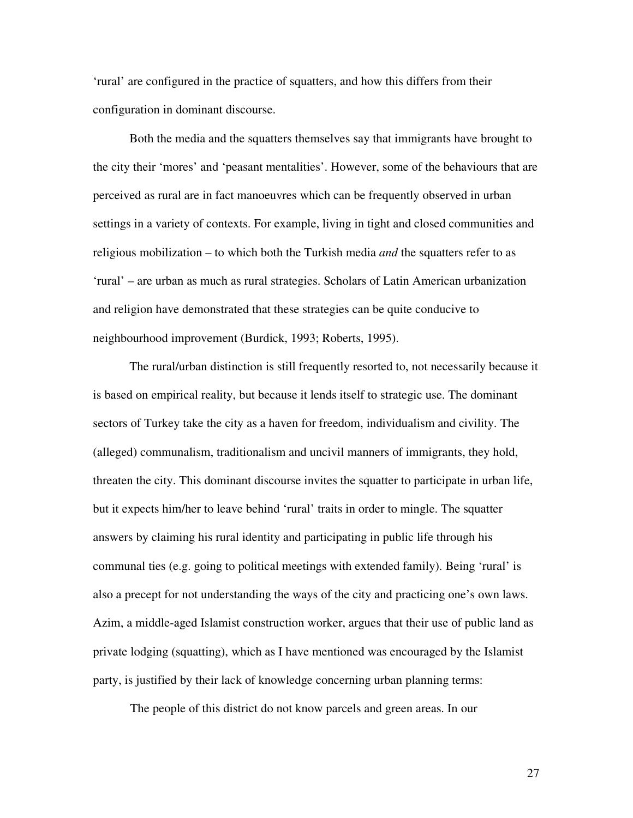'rural' are configured in the practice of squatters, and how this differs from their configuration in dominant discourse.

 Both the media and the squatters themselves say that immigrants have brought to the city their 'mores' and 'peasant mentalities'. However, some of the behaviours that are perceived as rural are in fact manoeuvres which can be frequently observed in urban settings in a variety of contexts. For example, living in tight and closed communities and religious mobilization – to which both the Turkish media *and* the squatters refer to as 'rural' – are urban as much as rural strategies. Scholars of Latin American urbanization and religion have demonstrated that these strategies can be quite conducive to neighbourhood improvement (Burdick, 1993; Roberts, 1995).

 The rural/urban distinction is still frequently resorted to, not necessarily because it is based on empirical reality, but because it lends itself to strategic use. The dominant sectors of Turkey take the city as a haven for freedom, individualism and civility. The (alleged) communalism, traditionalism and uncivil manners of immigrants, they hold, threaten the city. This dominant discourse invites the squatter to participate in urban life, but it expects him/her to leave behind 'rural' traits in order to mingle. The squatter answers by claiming his rural identity and participating in public life through his communal ties (e.g. going to political meetings with extended family). Being 'rural' is also a precept for not understanding the ways of the city and practicing one's own laws. Azim, a middle-aged Islamist construction worker, argues that their use of public land as private lodging (squatting), which as I have mentioned was encouraged by the Islamist party, is justified by their lack of knowledge concerning urban planning terms:

The people of this district do not know parcels and green areas. In our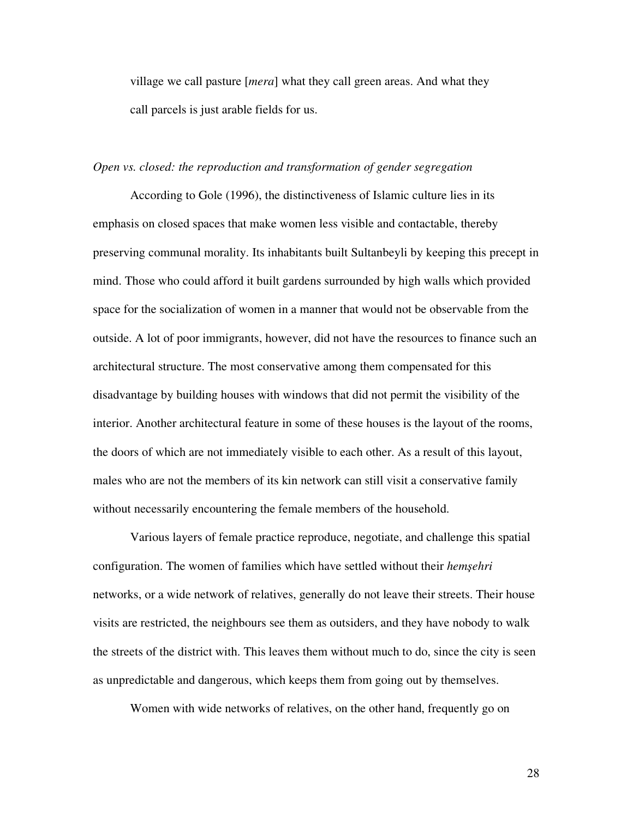village we call pasture [*mera*] what they call green areas. And what they call parcels is just arable fields for us.

### *Open vs. closed: the reproduction and transformation of gender segregation*

According to Gole (1996), the distinctiveness of Islamic culture lies in its emphasis on closed spaces that make women less visible and contactable, thereby preserving communal morality. Its inhabitants built Sultanbeyli by keeping this precept in mind. Those who could afford it built gardens surrounded by high walls which provided space for the socialization of women in a manner that would not be observable from the outside. A lot of poor immigrants, however, did not have the resources to finance such an architectural structure. The most conservative among them compensated for this disadvantage by building houses with windows that did not permit the visibility of the interior. Another architectural feature in some of these houses is the layout of the rooms, the doors of which are not immediately visible to each other. As a result of this layout, males who are not the members of its kin network can still visit a conservative family without necessarily encountering the female members of the household.

Various layers of female practice reproduce, negotiate, and challenge this spatial configuration. The women of families which have settled without their *hem*ş*ehri*  networks, or a wide network of relatives, generally do not leave their streets. Their house visits are restricted, the neighbours see them as outsiders, and they have nobody to walk the streets of the district with. This leaves them without much to do, since the city is seen as unpredictable and dangerous, which keeps them from going out by themselves.

Women with wide networks of relatives, on the other hand, frequently go on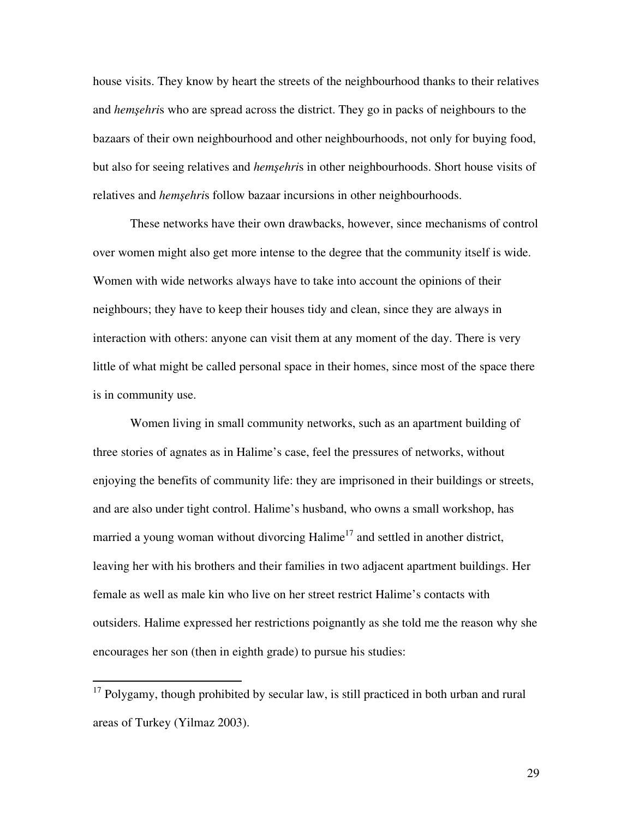house visits. They know by heart the streets of the neighbourhood thanks to their relatives and *hem*ş*ehri*s who are spread across the district. They go in packs of neighbours to the bazaars of their own neighbourhood and other neighbourhoods, not only for buying food, but also for seeing relatives and *hem*ş*ehri*s in other neighbourhoods. Short house visits of relatives and *hem*ş*ehri*s follow bazaar incursions in other neighbourhoods.

These networks have their own drawbacks, however, since mechanisms of control over women might also get more intense to the degree that the community itself is wide. Women with wide networks always have to take into account the opinions of their neighbours; they have to keep their houses tidy and clean, since they are always in interaction with others: anyone can visit them at any moment of the day. There is very little of what might be called personal space in their homes, since most of the space there is in community use.

Women living in small community networks, such as an apartment building of three stories of agnates as in Halime's case, feel the pressures of networks, without enjoying the benefits of community life: they are imprisoned in their buildings or streets, and are also under tight control. Halime's husband, who owns a small workshop, has married a young woman without divorcing Halime<sup>17</sup> and settled in another district, leaving her with his brothers and their families in two adjacent apartment buildings. Her female as well as male kin who live on her street restrict Halime's contacts with outsiders. Halime expressed her restrictions poignantly as she told me the reason why she encourages her son (then in eighth grade) to pursue his studies:

 $\overline{a}$ 

 $17$  Polygamy, though prohibited by secular law, is still practiced in both urban and rural areas of Turkey (Yilmaz 2003).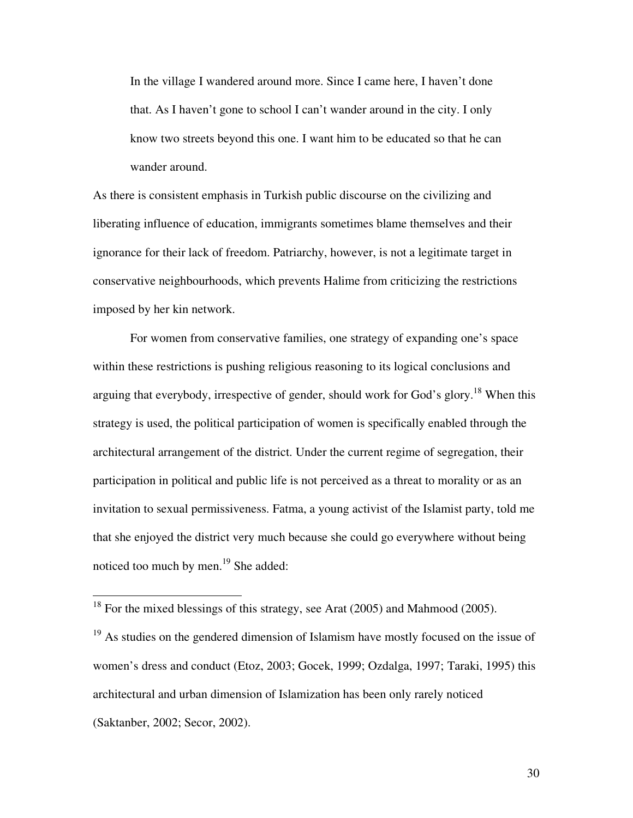In the village I wandered around more. Since I came here, I haven't done that. As I haven't gone to school I can't wander around in the city. I only know two streets beyond this one. I want him to be educated so that he can wander around.

As there is consistent emphasis in Turkish public discourse on the civilizing and liberating influence of education, immigrants sometimes blame themselves and their ignorance for their lack of freedom. Patriarchy, however, is not a legitimate target in conservative neighbourhoods, which prevents Halime from criticizing the restrictions imposed by her kin network.

For women from conservative families, one strategy of expanding one's space within these restrictions is pushing religious reasoning to its logical conclusions and arguing that everybody, irrespective of gender, should work for God's glory.<sup>18</sup> When this strategy is used, the political participation of women is specifically enabled through the architectural arrangement of the district. Under the current regime of segregation, their participation in political and public life is not perceived as a threat to morality or as an invitation to sexual permissiveness. Fatma, a young activist of the Islamist party, told me that she enjoyed the district very much because she could go everywhere without being noticed too much by men.<sup>19</sup> She added:

 $\overline{a}$ 

 $18$  For the mixed blessings of this strategy, see Arat (2005) and Mahmood (2005).

<sup>&</sup>lt;sup>19</sup> As studies on the gendered dimension of Islamism have mostly focused on the issue of women's dress and conduct (Etoz, 2003; Gocek, 1999; Ozdalga, 1997; Taraki, 1995) this architectural and urban dimension of Islamization has been only rarely noticed (Saktanber, 2002; Secor, 2002).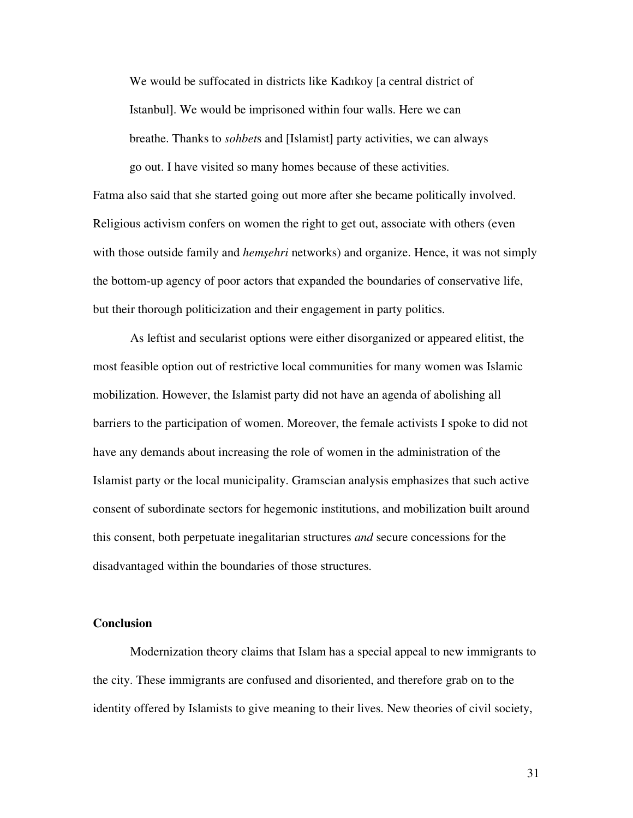We would be suffocated in districts like Kadıkoy [a central district of Istanbul]. We would be imprisoned within four walls. Here we can breathe. Thanks to *sohbet*s and [Islamist] party activities, we can always go out. I have visited so many homes because of these activities.

Fatma also said that she started going out more after she became politically involved. Religious activism confers on women the right to get out, associate with others (even with those outside family and *hem*ş*ehri* networks) and organize. Hence, it was not simply the bottom-up agency of poor actors that expanded the boundaries of conservative life, but their thorough politicization and their engagement in party politics.

As leftist and secularist options were either disorganized or appeared elitist, the most feasible option out of restrictive local communities for many women was Islamic mobilization. However, the Islamist party did not have an agenda of abolishing all barriers to the participation of women. Moreover, the female activists I spoke to did not have any demands about increasing the role of women in the administration of the Islamist party or the local municipality. Gramscian analysis emphasizes that such active consent of subordinate sectors for hegemonic institutions, and mobilization built around this consent, both perpetuate inegalitarian structures *and* secure concessions for the disadvantaged within the boundaries of those structures.

## **Conclusion**

Modernization theory claims that Islam has a special appeal to new immigrants to the city. These immigrants are confused and disoriented, and therefore grab on to the identity offered by Islamists to give meaning to their lives. New theories of civil society,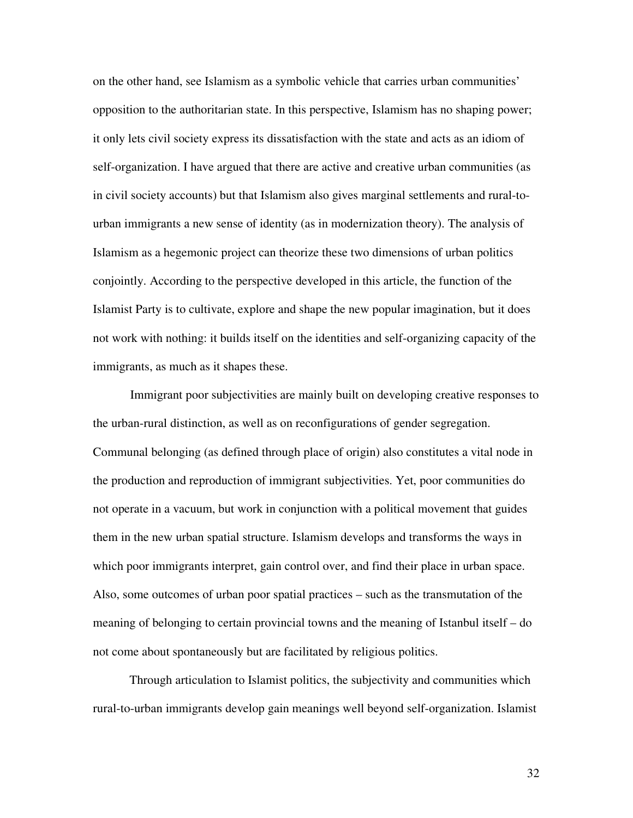on the other hand, see Islamism as a symbolic vehicle that carries urban communities' opposition to the authoritarian state. In this perspective, Islamism has no shaping power; it only lets civil society express its dissatisfaction with the state and acts as an idiom of self-organization. I have argued that there are active and creative urban communities (as in civil society accounts) but that Islamism also gives marginal settlements and rural-tourban immigrants a new sense of identity (as in modernization theory). The analysis of Islamism as a hegemonic project can theorize these two dimensions of urban politics conjointly. According to the perspective developed in this article, the function of the Islamist Party is to cultivate, explore and shape the new popular imagination, but it does not work with nothing: it builds itself on the identities and self-organizing capacity of the immigrants, as much as it shapes these.

Immigrant poor subjectivities are mainly built on developing creative responses to the urban-rural distinction, as well as on reconfigurations of gender segregation. Communal belonging (as defined through place of origin) also constitutes a vital node in the production and reproduction of immigrant subjectivities. Yet, poor communities do not operate in a vacuum, but work in conjunction with a political movement that guides them in the new urban spatial structure. Islamism develops and transforms the ways in which poor immigrants interpret, gain control over, and find their place in urban space. Also, some outcomes of urban poor spatial practices – such as the transmutation of the meaning of belonging to certain provincial towns and the meaning of Istanbul itself – do not come about spontaneously but are facilitated by religious politics.

 Through articulation to Islamist politics, the subjectivity and communities which rural-to-urban immigrants develop gain meanings well beyond self-organization. Islamist